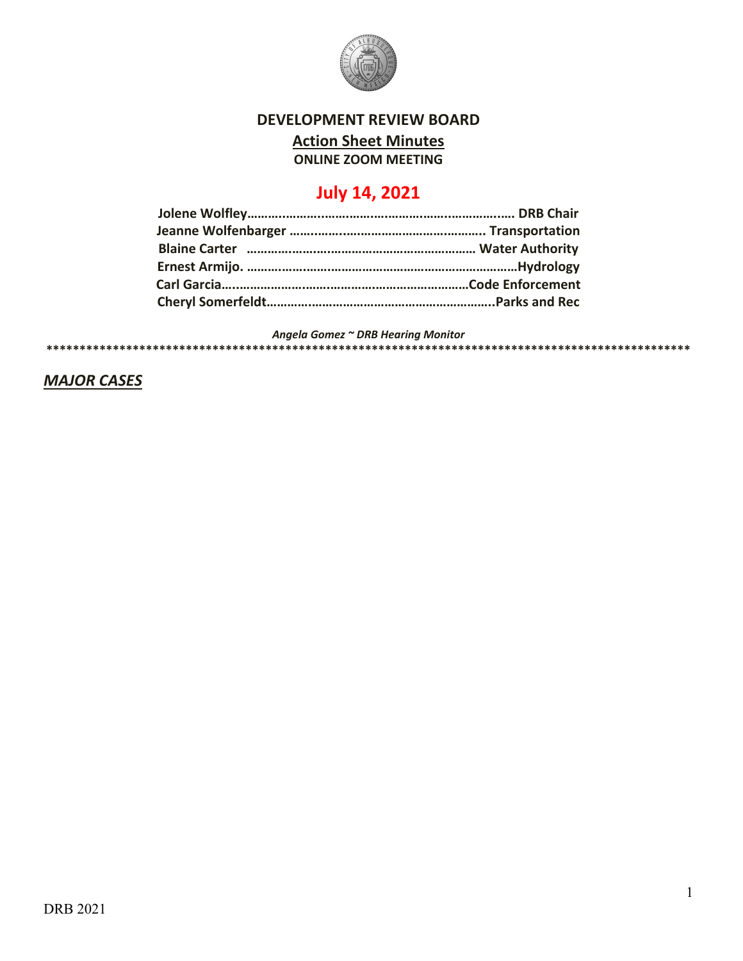

# **DEVELOPMENT REVIEW BOARD**

**Action Sheet Minutes**

**ONLINE ZOOM MEETING**

# **July 14, 2021**

*Angela Gomez ~ DRB Hearing Monitor*

**\*\*\*\*\*\*\*\*\*\*\*\*\*\*\*\*\*\*\*\*\*\*\*\*\*\*\*\*\*\*\*\*\*\*\*\*\*\*\*\*\*\*\*\*\*\*\*\*\*\*\*\*\*\*\*\*\*\*\*\*\*\*\*\*\*\*\*\*\*\*\*\*\*\*\*\*\*\*\*\*\*\*\*\*\*\*\*\*\*\*\*\*\*\*\*\*\***

*MAJOR CASES*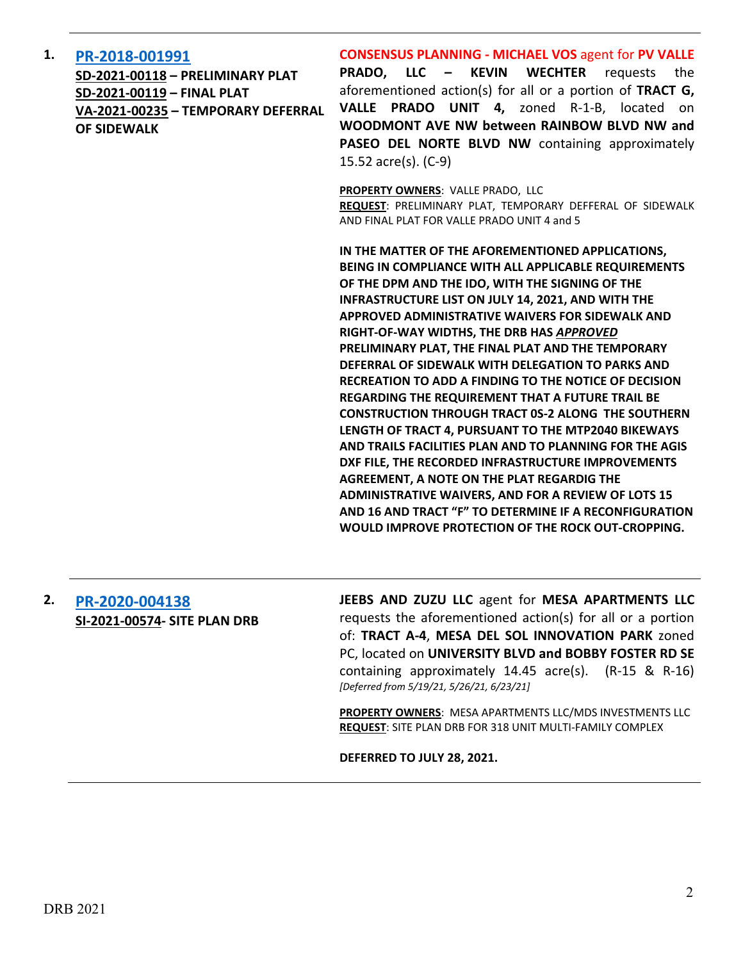#### **1. [PR-2018-001991](http://data.cabq.gov/government/planning/DRB/PR-2019-001991/DRB%20Submittals/PR-2018-001991_July_14_2021%20(Valle%20Prado,%20unit%204)/Application/PR-2018-001991_Valle%20Prado%205_DRB%20Application.pdf)**

**SD-2021-00118 – PRELIMINARY PLAT SD-2021-00119 – FINAL PLAT VA-2021-00235 – TEMPORARY DEFERRAL OF SIDEWALK** 

**CONSENSUS PLANNING - MICHAEL VOS** agent for **PV VALLE PRADO, LLC – KEVIN WECHTER** requests the aforementioned action(s) for all or a portion of **TRACT G, VALLE PRADO UNIT 4,** zoned R-1-B, located on **WOODMONT AVE NW between RAINBOW BLVD NW and PASEO DEL NORTE BLVD NW** containing approximately 15.52 acre(s). (C-9)

**PROPERTY OWNERS**: VALLE PRADO, LLC **REQUEST**: PRELIMINARY PLAT, TEMPORARY DEFFERAL OF SIDEWALK AND FINAL PLAT FOR VALLE PRADO UNIT 4 and 5

**IN THE MATTER OF THE AFOREMENTIONED APPLICATIONS, BEING IN COMPLIANCE WITH ALL APPLICABLE REQUIREMENTS OF THE DPM AND THE IDO, WITH THE SIGNING OF THE INFRASTRUCTURE LIST ON JULY 14, 2021, AND WITH THE APPROVED ADMINISTRATIVE WAIVERS FOR SIDEWALK AND RIGHT-OF-WAY WIDTHS, THE DRB HAS** *APPROVED* **PRELIMINARY PLAT, THE FINAL PLAT AND THE TEMPORARY DEFERRAL OF SIDEWALK WITH DELEGATION TO PARKS AND RECREATION TO ADD A FINDING TO THE NOTICE OF DECISION REGARDING THE REQUIREMENT THAT A FUTURE TRAIL BE CONSTRUCTION THROUGH TRACT 0S-2 ALONG THE SOUTHERN LENGTH OF TRACT 4, PURSUANT TO THE MTP2040 BIKEWAYS AND TRAILS FACILITIES PLAN AND TO PLANNING FOR THE AGIS DXF FILE, THE RECORDED INFRASTRUCTURE IMPROVEMENTS AGREEMENT, A NOTE ON THE PLAT REGARDIG THE ADMINISTRATIVE WAIVERS, AND FOR A REVIEW OF LOTS 15 AND 16 AND TRACT "F" TO DETERMINE IF A RECONFIGURATION WOULD IMPROVE PROTECTION OF THE ROCK OUT-CROPPING.**

### **2. [PR-2020-004138](http://data.cabq.gov/government/planning/DRB/PR-2020-004138/DRB%20Submittals/) SI-2021-00574- SITE PLAN DRB**

**JEEBS AND ZUZU LLC** agent for **MESA APARTMENTS LLC** requests the aforementioned action(s) for all or a portion of: **TRACT A-4**, **MESA DEL SOL INNOVATION PARK** zoned PC, located on **UNIVERSITY BLVD and BOBBY FOSTER RD SE** containing approximately 14.45 acre(s). (R-15 & R-16) *[Deferred from 5/19/21, 5/26/21, 6/23/21]*

**PROPERTY OWNERS**: MESA APARTMENTS LLC/MDS INVESTMENTS LLC **REQUEST**: SITE PLAN DRB FOR 318 UNIT MULTI-FAMILY COMPLEX

**DEFERRED TO JULY 28, 2021.**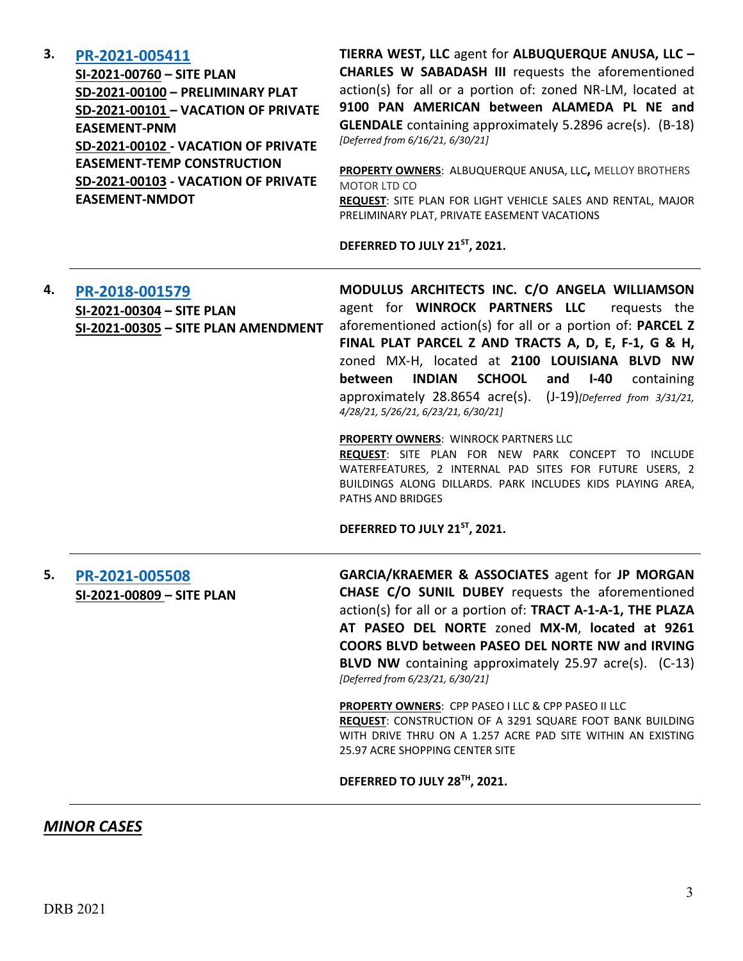#### **3. [PR-2021-005411](http://data.cabq.gov/government/planning/DRB/PR-2021-005411/DRB%20Submittals/)**

**SI-2021-00760 – SITE PLAN SD-2021-00100 – PRELIMINARY PLAT SD-2021-00101 – VACATION OF PRIVATE EASEMENT-PNM SD-2021-00102 - VACATION OF PRIVATE EASEMENT-TEMP CONSTRUCTION SD-2021-00103 - VACATION OF PRIVATE EASEMENT-NMDOT**

**TIERRA WEST, LLC** agent for **ALBUQUERQUE ANUSA, LLC – CHARLES W SABADASH III** requests the aforementioned action(s) for all or a portion of: zoned NR-LM, located at **9100 PAN AMERICAN between ALAMEDA PL NE and GLENDALE** containing approximately 5.2896 acre(s). (B-18) *[Deferred from 6/16/21, 6/30/21]*

**PROPERTY OWNERS**: ALBUQUERQUE ANUSA, LLC**,** MELLOY BROTHERS MOTOR LTD CO

**REQUEST**: SITE PLAN FOR LIGHT VEHICLE SALES AND RENTAL, MAJOR PRELIMINARY PLAT, PRIVATE EASEMENT VACATIONS

**DEFERRED TO JULY 21ST, 2021.**

# **4. [PR-2018-001579](http://data.cabq.gov/government/planning/DRB/PR-2018-001579/DRB%20Submittals/PR-2018-001579_Mar_31_2021%20(SITE%20P.,%20SITE%20P.%20AMEND.,%20SKETCH%20PLAT%20%7bPark%7d)/) SI-2021-00304 – SITE PLAN SI-2021-00305 – SITE PLAN AMENDMENT**

**MODULUS ARCHITECTS INC. C/O ANGELA WILLIAMSON**  agent for **WINROCK PARTNERS LLC** requests the aforementioned action(s) for all or a portion of: **PARCEL Z FINAL PLAT PARCEL Z AND TRACTS A, D, E, F-1, G & H,**  zoned MX-H, located at **2100 LOUISIANA BLVD NW between INDIAN SCHOOL and I-40** containing approximately 28.8654 acre(s). (J-19)*[Deferred from 3/31/21, 4/28/21, 5/26/21, 6/23/21, 6/30/21]*

#### **PROPERTY OWNERS**: WINROCK PARTNERS LLC

**REQUEST**: SITE PLAN FOR NEW PARK CONCEPT TO INCLUDE WATERFEATURES, 2 INTERNAL PAD SITES FOR FUTURE USERS, 2 BUILDINGS ALONG DILLARDS. PARK INCLUDES KIDS PLAYING AREA, PATHS AND BRIDGES

**DEFERRED TO JULY 21ST, 2021.**

**5. [PR-2021-005508](http://data.cabq.gov/government/planning/DRB/PR-2021-005508/DRB%20Submittals/) SI-2021-00809 – SITE PLAN** **GARCIA/KRAEMER & ASSOCIATES** agent for **JP MORGAN CHASE C/O SUNIL DUBEY** requests the aforementioned action(s) for all or a portion of: **TRACT A-1-A-1, THE PLAZA AT PASEO DEL NORTE** zoned **MX-M**, **located at 9261 COORS BLVD between PASEO DEL NORTE NW and IRVING BLVD NW** containing approximately 25.97 acre(s). (C-13) *[Deferred from 6/23/21, 6/30/21]*

**PROPERTY OWNERS**: CPP PASEO I LLC & CPP PASEO II LLC **REQUEST**: CONSTRUCTION OF A 3291 SQUARE FOOT BANK BUILDING WITH DRIVE THRU ON A 1.257 ACRE PAD SITE WITHIN AN EXISTING 25.97 ACRE SHOPPING CENTER SITE

**DEFERRED TO JULY 28TH, 2021.**

#### *MINOR CASES*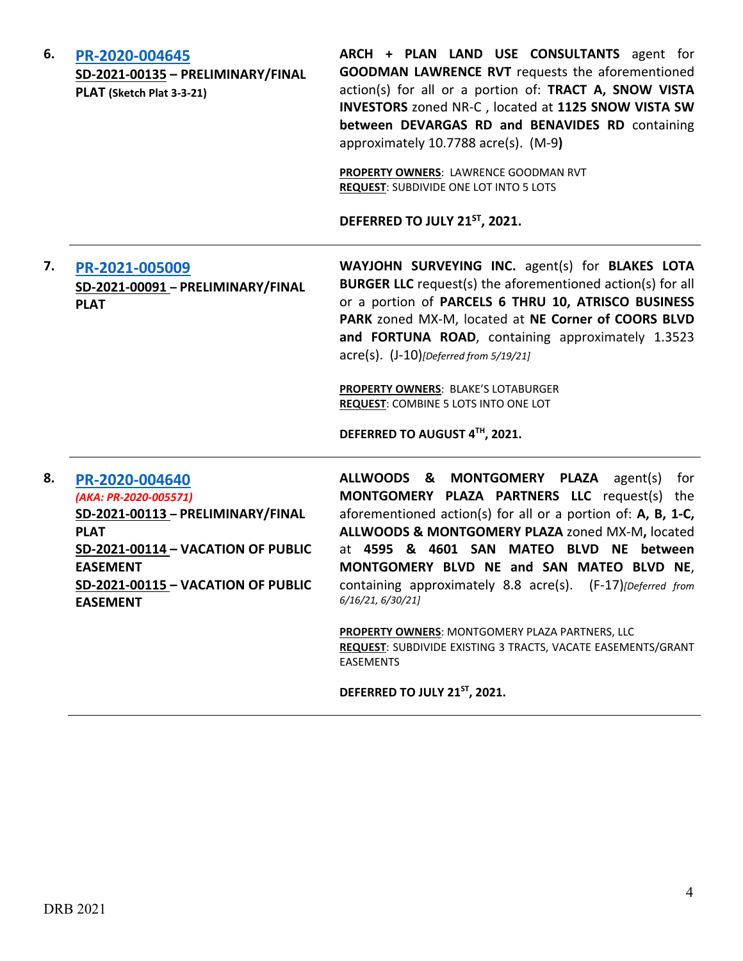| 6. | PR-2020-004645<br>SD-2021-00135 - PRELIMINARY/FINAL<br>PLAT (Sketch Plat 3-3-21)                                                                                                                                     | ARCH + PLAN LAND USE CONSULTANTS agent for<br><b>GOODMAN LAWRENCE RVT</b> requests the aforementioned<br>action(s) for all or a portion of: TRACT A, SNOW VISTA<br>INVESTORS zoned NR-C, located at 1125 SNOW VISTA SW<br>between DEVARGAS RD and BENAVIDES RD containing<br>approximately 10.7788 acre(s). (M-9)<br>PROPERTY OWNERS: LAWRENCE GOODMAN RVT<br><b>REQUEST: SUBDIVIDE ONE LOT INTO 5 LOTS</b><br>DEFERRED TO JULY 21ST, 2021.                                                                                          |
|----|----------------------------------------------------------------------------------------------------------------------------------------------------------------------------------------------------------------------|--------------------------------------------------------------------------------------------------------------------------------------------------------------------------------------------------------------------------------------------------------------------------------------------------------------------------------------------------------------------------------------------------------------------------------------------------------------------------------------------------------------------------------------|
| 7. | PR-2021-005009<br>SD-2021-00091 - PRELIMINARY/FINAL<br><b>PLAT</b>                                                                                                                                                   | WAYJOHN SURVEYING INC. agent(s) for BLAKES LOTA<br><b>BURGER LLC</b> request(s) the aforementioned action(s) for all<br>or a portion of PARCELS 6 THRU 10, ATRISCO BUSINESS<br>PARK zoned MX-M, located at NE Corner of COORS BLVD<br>and FORTUNA ROAD, containing approximately 1.3523<br>$\text{acre}(s)$ . $(J-10)$ [Deferred from 5/19/21]<br><b>PROPERTY OWNERS: BLAKE'S LOTABURGER</b><br>REQUEST: COMBINE 5 LOTS INTO ONE LOT<br>DEFERRED TO AUGUST 4TH, 2021.                                                                |
| 8. | PR-2020-004640<br>(AKA: PR-2020-005571)<br>SD-2021-00113 - PRELIMINARY/FINAL<br><b>PLAT</b><br><b>SD-2021-00114 - VACATION OF PUBLIC</b><br><b>EASEMENT</b><br>SD-2021-00115 - VACATION OF PUBLIC<br><b>EASEMENT</b> | ALLWOODS & MONTGOMERY PLAZA<br>agent(s)<br>for<br>MONTGOMERY PLAZA PARTNERS LLC request(s) the<br>aforementioned action(s) for all or a portion of: A, B, 1-C,<br>ALLWOODS & MONTGOMERY PLAZA zoned MX-M, located<br>at 4595 & 4601 SAN MATEO BLVD NE between<br>MONTGOMERY BLVD NE and SAN MATEO BLVD NE,<br>containing approximately 8.8 acre(s). (F-17)[Deferred from<br>6/16/21, 6/30/21]<br>PROPERTY OWNERS: MONTGOMERY PLAZA PARTNERS, LLC<br>REQUEST: SUBDIVIDE EXISTING 3 TRACTS, VACATE EASEMENTS/GRANT<br><b>EASEMENTS</b> |

**DEFERRED TO JULY 21ST, 2021.**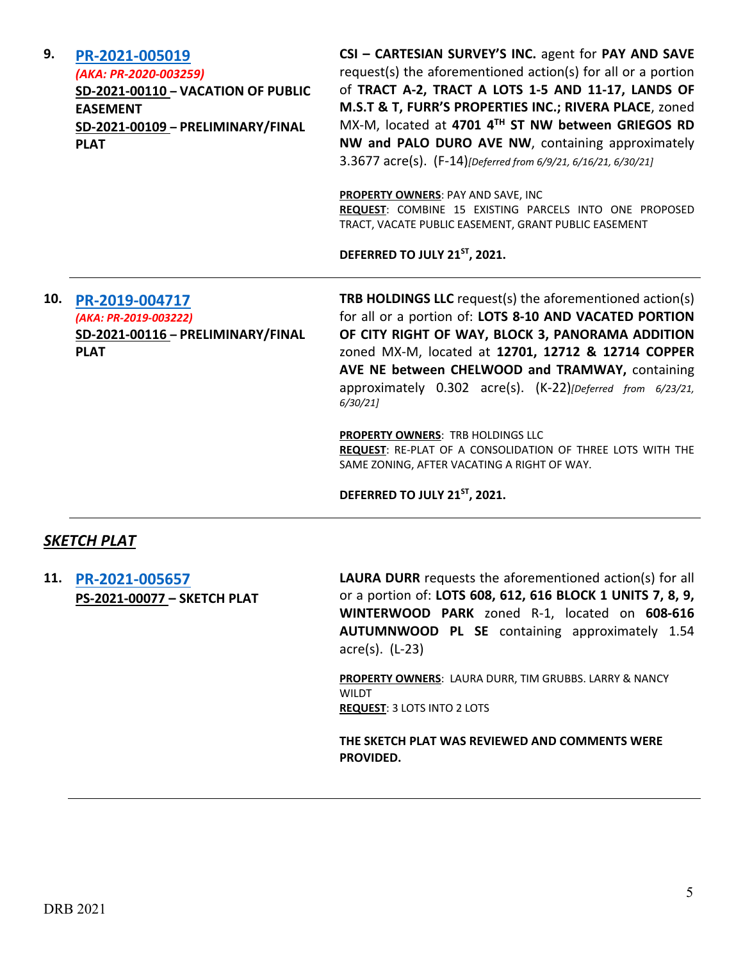| 9.  | PR-2021-005019<br>(AKA: PR-2020-003259)<br><b>SD-2021-00110 - VACATION OF PUBLIC</b><br><b>EASEMENT</b><br>SD-2021-00109 - PRELIMINARY/FINAL<br><b>PLAT</b> | CSI - CARTESIAN SURVEY'S INC. agent for PAY AND SAVE<br>request(s) the aforementioned action(s) for all or a portion<br>of TRACT A-2, TRACT A LOTS 1-5 AND 11-17, LANDS OF<br>M.S.T & T, FURR'S PROPERTIES INC.; RIVERA PLACE, zoned<br>MX-M, located at 4701 4TH ST NW between GRIEGOS RD<br>NW and PALO DURO AVE NW, containing approximately<br>3.3677 acre(s). (F-14)[Deferred from 6/9/21, 6/16/21, 6/30/21]<br>PROPERTY OWNERS: PAY AND SAVE, INC<br>REQUEST: COMBINE 15 EXISTING PARCELS INTO ONE PROPOSED<br>TRACT, VACATE PUBLIC EASEMENT, GRANT PUBLIC EASEMENT<br>DEFERRED TO JULY 21ST, 2021. |
|-----|-------------------------------------------------------------------------------------------------------------------------------------------------------------|-----------------------------------------------------------------------------------------------------------------------------------------------------------------------------------------------------------------------------------------------------------------------------------------------------------------------------------------------------------------------------------------------------------------------------------------------------------------------------------------------------------------------------------------------------------------------------------------------------------|
| 10. | PR-2019-004717<br>(AKA: PR-2019-003222)<br>SD-2021-00116 - PRELIMINARY/FINAL<br><b>PLAT</b>                                                                 | TRB HOLDINGS LLC request(s) the aforementioned action(s)<br>for all or a portion of: LOTS 8-10 AND VACATED PORTION<br>OF CITY RIGHT OF WAY, BLOCK 3, PANORAMA ADDITION<br>zoned MX-M, located at 12701, 12712 & 12714 COPPER<br>AVE NE between CHELWOOD and TRAMWAY, containing<br>approximately 0.302 acre(s). (K-22)[Deferred from 6/23/21,<br>6/30/21<br><b>PROPERTY OWNERS: TRB HOLDINGS LLC</b><br>REQUEST: RE-PLAT OF A CONSOLIDATION OF THREE LOTS WITH THE<br>SAME ZONING, AFTER VACATING A RIGHT OF WAY.<br>DEFERRED TO JULY 21ST, 2021.                                                         |

# *SKETCH PLAT*

**11. [PR-2021-005657](http://data.cabq.gov/government/planning/DRB/PR-2021-005657/DRB%20Submittals/PR-2021-005657_JULY_14_2021%20(Sketch)/Application/Form%20S2%20-%20Laura%20Durr%20(2).pdf) PS-2021-00077 – SKETCH PLAT**

**LAURA DURR** requests the aforementioned action(s) for all or a portion of: **LOTS 608, 612, 616 BLOCK 1 UNITS 7, 8, 9, WINTERWOOD PARK** zoned R-1, located on **608-616 AUTUMNWOOD PL SE** containing approximately 1.54 acre(s). (L-23)

**PROPERTY OWNERS**: LAURA DURR, TIM GRUBBS. LARRY & NANCY **WILDT REQUEST**: 3 LOTS INTO 2 LOTS

**THE SKETCH PLAT WAS REVIEWED AND COMMENTS WERE PROVIDED.**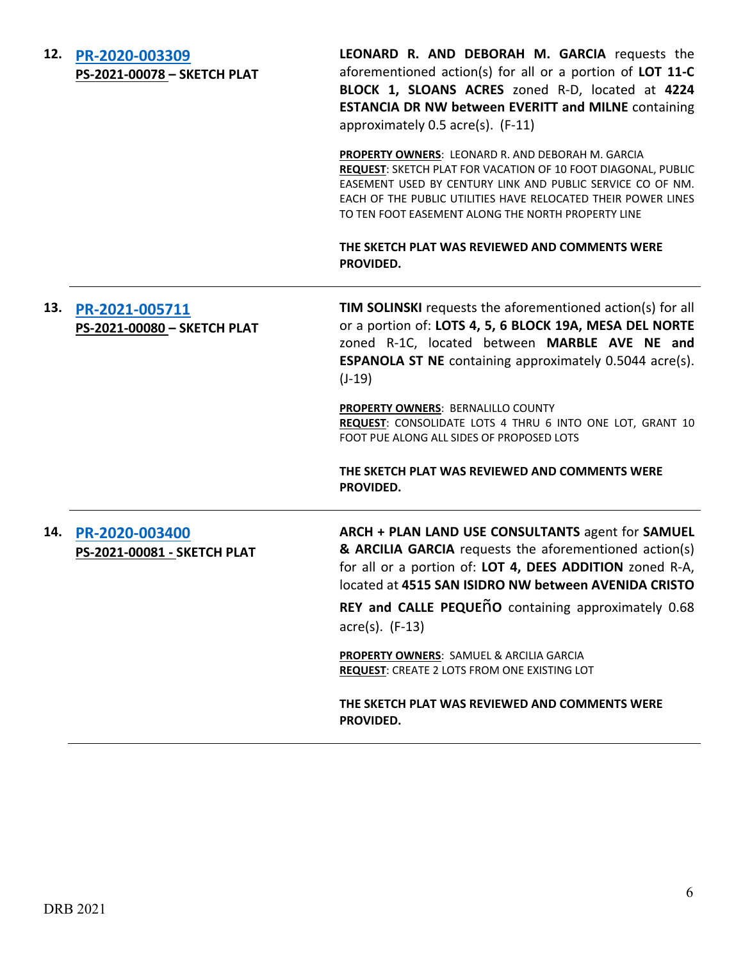| 12. | PR-2020-003309<br>PS-2021-00078 - SKETCH PLAT | LEONARD R. AND DEBORAH M. GARCIA requests the<br>aforementioned action(s) for all or a portion of LOT 11-C<br>BLOCK 1, SLOANS ACRES zoned R-D, located at 4224<br><b>ESTANCIA DR NW between EVERITT and MILNE containing</b><br>approximately 0.5 acre(s). (F-11)                                                                                       |
|-----|-----------------------------------------------|---------------------------------------------------------------------------------------------------------------------------------------------------------------------------------------------------------------------------------------------------------------------------------------------------------------------------------------------------------|
|     |                                               | PROPERTY OWNERS: LEONARD R. AND DEBORAH M. GARCIA<br>REQUEST: SKETCH PLAT FOR VACATION OF 10 FOOT DIAGONAL, PUBLIC<br>EASEMENT USED BY CENTURY LINK AND PUBLIC SERVICE CO OF NM.<br>EACH OF THE PUBLIC UTILITIES HAVE RELOCATED THEIR POWER LINES<br>TO TEN FOOT EASEMENT ALONG THE NORTH PROPERTY LINE                                                 |
|     |                                               | THE SKETCH PLAT WAS REVIEWED AND COMMENTS WERE<br>PROVIDED.                                                                                                                                                                                                                                                                                             |
| 13. | PR-2021-005711<br>PS-2021-00080 - SKETCH PLAT | TIM SOLINSKI requests the aforementioned action(s) for all<br>or a portion of: LOTS 4, 5, 6 BLOCK 19A, MESA DEL NORTE<br>zoned R-1C, located between MARBLE AVE NE and<br><b>ESPANOLA ST NE</b> containing approximately 0.5044 acre(s).<br>$(J-19)$<br>PROPERTY OWNERS: BERNALILLO COUNTY<br>REQUEST: CONSOLIDATE LOTS 4 THRU 6 INTO ONE LOT, GRANT 10 |
|     |                                               | FOOT PUE ALONG ALL SIDES OF PROPOSED LOTS<br>THE SKETCH PLAT WAS REVIEWED AND COMMENTS WERE<br>PROVIDED.                                                                                                                                                                                                                                                |
| 14. | PR-2020-003400<br>PS-2021-00081 - SKETCH PLAT | ARCH + PLAN LAND USE CONSULTANTS agent for SAMUEL<br>& ARCILIA GARCIA requests the aforementioned action(s)<br>for all or a portion of: LOT 4, DEES ADDITION zoned R-A,<br>located at 4515 SAN ISIDRO NW between AVENIDA CRISTO                                                                                                                         |
|     |                                               | REY and CALLE PEQUENO containing approximately 0.68<br>$\arccos(5)$ . (F-13)                                                                                                                                                                                                                                                                            |
|     |                                               | PROPERTY OWNERS: SAMUEL & ARCILIA GARCIA<br><b>REQUEST: CREATE 2 LOTS FROM ONE EXISTING LOT</b>                                                                                                                                                                                                                                                         |
|     |                                               | THE SKETCH PLAT WAS REVIEWED AND COMMENTS WERE<br>PROVIDED.                                                                                                                                                                                                                                                                                             |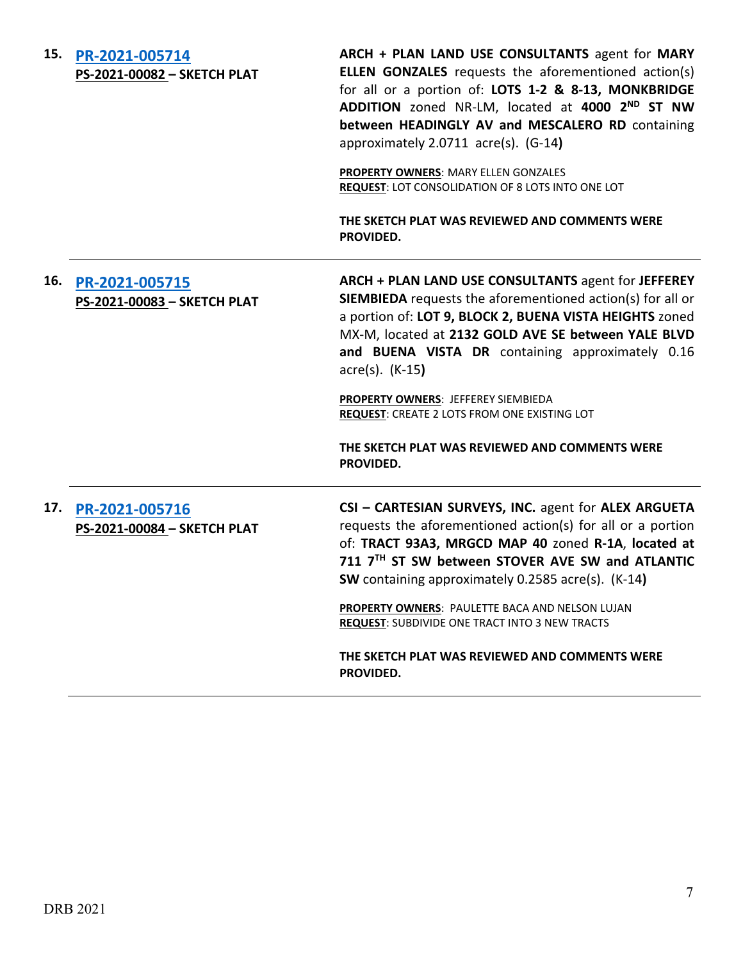#### **15. [PR-2021-005714](http://data.cabq.gov/government/planning/DRB/PR-2021-005714/DRB%20Submittals/PR-2021-005714_JULY_14_2021%20(Sketch)/Application/MONKBRIDGE%20ADDN%20SKETCH%20PLAT.pdf) PS-2021-00082 – SKETCH PLAT**

**ARCH + PLAN LAND USE CONSULTANTS** agent for **MARY ELLEN GONZALES** requests the aforementioned action(s) for all or a portion of: **LOTS 1-2 & 8-13, MONKBRIDGE ADDITION** zoned NR-LM, located at **4000 2ND ST NW between HEADINGLY AV and MESCALERO RD** containing approximately 2.0711 acre(s). (G-14**)**

**PROPERTY OWNERS**: MARY ELLEN GONZALES **REQUEST**: LOT CONSOLIDATION OF 8 LOTS INTO ONE LOT

**THE SKETCH PLAT WAS REVIEWED AND COMMENTS WERE PROVIDED.**

# **16. [PR-2021-005715](http://data.cabq.gov/government/planning/DRB/PR-2021-005715/DRB%20Submittals/PR-2021-005715_JULY_14_2021%20(Sketch)/Application/BUENA%20VISTA%20HEIGHTS%20SKETCH%20PLAT.pdf) PS-2021-00083 – SKETCH PLAT**

**ARCH + PLAN LAND USE CONSULTANTS** agent for **JEFFEREY SIEMBIEDA** requests the aforementioned action(s) for all or a portion of: **LOT 9, BLOCK 2, BUENA VISTA HEIGHTS** zoned MX-M, located at **2132 GOLD AVE SE between YALE BLVD and BUENA VISTA DR** containing approximately 0.16 acre(s). (K-15**)**

**PROPERTY OWNERS**: JEFFEREY SIEMBIEDA **REQUEST**: CREATE 2 LOTS FROM ONE EXISTING LOT

**THE SKETCH PLAT WAS REVIEWED AND COMMENTS WERE PROVIDED.**

# **17. [PR-2021-005716](http://data.cabq.gov/government/planning/DRB/PR-2021-005716/DRB%20Submittals/PR-2021-005716_JULY_14_2021%20(Sketch)/Application/DRB_app_711-7th_St_SW.pdf) PS-2021-00084 – SKETCH PLAT**

**CSI – CARTESIAN SURVEYS, INC.** agent for **ALEX ARGUETA** requests the aforementioned action(s) for all or a portion of: **TRACT 93A3, MRGCD MAP 40** zoned **R-1A**, **located at 711 7TH ST SW between STOVER AVE SW and ATLANTIC SW** containing approximately 0.2585 acre(s). (K-14**)**

**PROPERTY OWNERS**: PAULETTE BACA AND NELSON LUJAN **REQUEST**: SUBDIVIDE ONE TRACT INTO 3 NEW TRACTS

**THE SKETCH PLAT WAS REVIEWED AND COMMENTS WERE PROVIDED.**